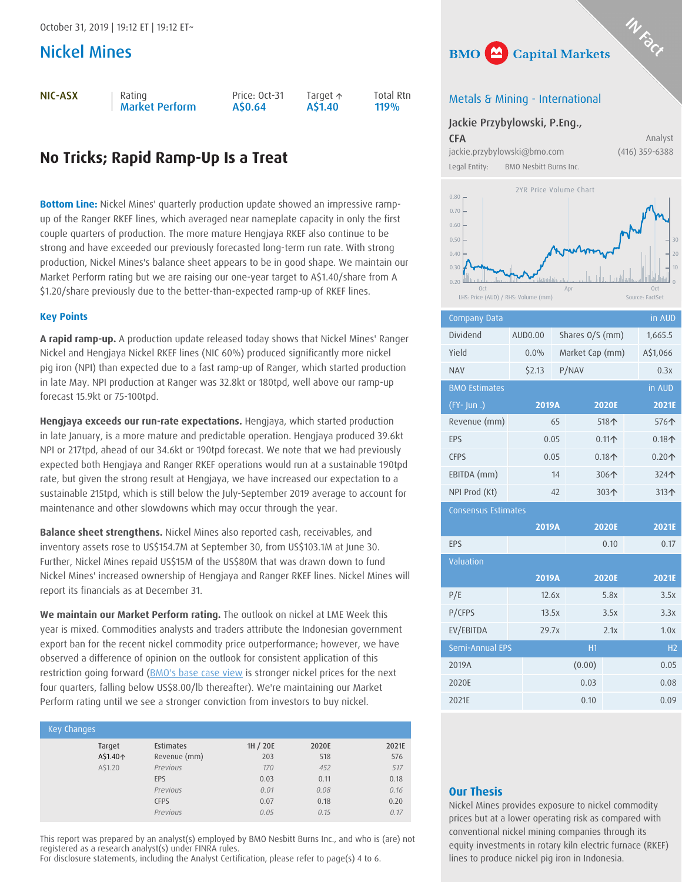# Nickel Mines

NIC-ASX | Rating

```
Market Perform
```

```
A$0.64
```
Price: Oct-31 Target ↑ A\$1.40

```
Total Rtn<br>119%
```
# **No Tricks; Rapid Ramp-Up Is a Treat**

**Bottom Line:** Nickel Mines' quarterly production update showed an impressive rampup of the Ranger RKEF lines, which averaged near nameplate capacity in only the first couple quarters of production. The more mature Hengjaya RKEF also continue to be strong and have exceeded our previously forecasted long-term run rate. With strong production, Nickel Mines's balance sheet appears to be in good shape. We maintain our Market Perform rating but we are raising our one-year target to A\$1.40/share from A \$1.20/share previously due to the better-than-expected ramp-up of RKEF lines.

# **Key Points**

**A rapid ramp-up.** A production update released today shows that Nickel Mines' Ranger Nickel and Hengjaya Nickel RKEF lines (NIC 60%) produced significantly more nickel pig iron (NPI) than expected due to a fast ramp-up of Ranger, which started production in late May. NPI production at Ranger was 32.8kt or 180tpd, well above our ramp-up forecast 15.9kt or 75-100tpd.

**Hengjaya exceeds our run-rate expectations.** Hengjaya, which started production in late January, is a more mature and predictable operation. Hengjaya produced 39.6kt NPI or 217tpd, ahead of our 34.6kt or 190tpd forecast. We note that we had previously expected both Hengjaya and Ranger RKEF operations would run at a sustainable 190tpd rate, but given the strong result at Hengjaya, we have increased our expectation to a sustainable 215tpd, which is still below the July-September 2019 average to account for maintenance and other slowdowns which may occur through the year.

**Balance sheet strengthens.** Nickel Mines also reported cash, receivables, and inventory assets rose to US\$154.7M at September 30, from US\$103.1M at June 30. Further, Nickel Mines repaid US\$15M of the US\$80M that was drawn down to fund Nickel Mines' increased ownership of Hengjaya and Ranger RKEF lines. Nickel Mines will report its financials as at December 31.

**We maintain our Market Perform rating.** The outlook on nickel at LME Week this year is mixed. Commodities analysts and traders attribute the Indonesian government export ban for the recent nickel commodity price outperformance; however, we have observed a difference of opinion on the outlook for consistent application of this restriction going forward ([BMO's base case view](https://researchglobal0.bmocapitalmarkets.com/api/v1/publication/getPublicationPdfLive/?id=d962996d-8855-4e2c-8ff9-06534af6d409&read=true&stamp=1572561389087000&sitename=Equity) is stronger nickel prices for the next four quarters, falling below US\$8.00/lb thereafter). We're maintaining our Market Perform rating until we see a stronger conviction from investors to buy nickel.

| Key Changes |                  |          |       |       |  |  |  |  |  |  |  |
|-------------|------------------|----------|-------|-------|--|--|--|--|--|--|--|
| Target      | <b>Estimates</b> | 1H / 20E | 2020E | 2021E |  |  |  |  |  |  |  |
| A\$1.40个    | Revenue (mm)     | 203      | 518   | 576   |  |  |  |  |  |  |  |
| A\$1.20     | Previous         | 170      | 452   | 517   |  |  |  |  |  |  |  |
|             | EPS              | 0.03     | 0.11  | 0.18  |  |  |  |  |  |  |  |
|             | Previous         | 0.01     | 0.08  | 0.16  |  |  |  |  |  |  |  |
|             | <b>CFPS</b>      | 0.07     | 0.18  | 0.20  |  |  |  |  |  |  |  |
|             | Previous         | 0.05     | 0.15  | 0.17  |  |  |  |  |  |  |  |

This report was prepared by an analyst(s) employed by BMO Nesbitt Burns Inc., and who is (are) not registered as a research analyst(s) under FINRA rules.

For disclosure statements, including the Analyst Certification, please refer to page(s) 4 to 6.



# Metals & Mining - International

# Jackie Przybylowski, P.Eng., **CFA** Analyst

jackie.przybylowski@bmo.com (416) 359-6388 Legal Entity: BMO Nesbitt Burns Inc.



| <b>Company Data</b>        |         |            |                 |                   |      | in AUD         |  |  |
|----------------------------|---------|------------|-----------------|-------------------|------|----------------|--|--|
| Dividend                   | AUD0.00 |            | Shares O/S (mm) |                   |      | 1,665.5        |  |  |
| Yield                      | $0.0\%$ |            | Market Cap (mm) |                   |      | A\$1,066       |  |  |
| <b>NAV</b>                 | \$2.13  |            | P/NAV           |                   |      | 0.3x           |  |  |
| <b>BMO Estimates</b>       |         |            |                 |                   |      | in AUD         |  |  |
| $(FY - Jun.)$              | 2019A   |            |                 | <b>2020E</b>      |      | 2021E          |  |  |
| Revenue (mm)               |         | 65         |                 | 518个              |      | 576个           |  |  |
| EPS                        |         | 0.05       |                 | $0.11 \text{\AA}$ |      | $0.18+$        |  |  |
| <b>CFPS</b>                |         | 0.05       |                 | $0.18+$           |      | $0.20$ 个       |  |  |
| EBITDA (mm)                |         | 14         |                 | 306个              | 324个 |                |  |  |
| NPI Prod (Kt)              |         | 42<br>303个 |                 |                   |      |                |  |  |
| <b>Consensus Estimates</b> |         |            |                 |                   |      |                |  |  |
|                            | 2019A   |            |                 | 2020E             |      | 2021E          |  |  |
| EPS                        |         |            |                 | 0.10              |      | 0.17           |  |  |
| Valuation                  |         |            |                 |                   |      |                |  |  |
|                            | 2019A   |            |                 | <b>2020E</b>      |      | 2021E          |  |  |
| P/E                        | 12.6x   |            |                 | 5.8x              |      | 3.5x           |  |  |
| P/CFPS                     | 13.5x   |            |                 | 3.5x              |      | 3.3x           |  |  |
| EV/EBITDA                  | 29.7x   |            |                 | 2.1x              |      | 1.0x           |  |  |
| Semi-Annual EPS            |         |            | <b>H1</b>       |                   |      | H <sub>2</sub> |  |  |
| 2019A                      |         |            | (0.00)          |                   |      | 0.05           |  |  |
| 2020E                      |         |            | 0.03            |                   |      | 0.08           |  |  |
| 2021E                      |         |            | 0.10            |                   |      | 0.09           |  |  |

# **Our Thesis**

Nickel Mines provides exposure to nickel commodity prices but at a lower operating risk as compared with conventional nickel mining companies through its equity investments in rotary kiln electric furnace (RKEF) lines to produce nickel pig iron in Indonesia.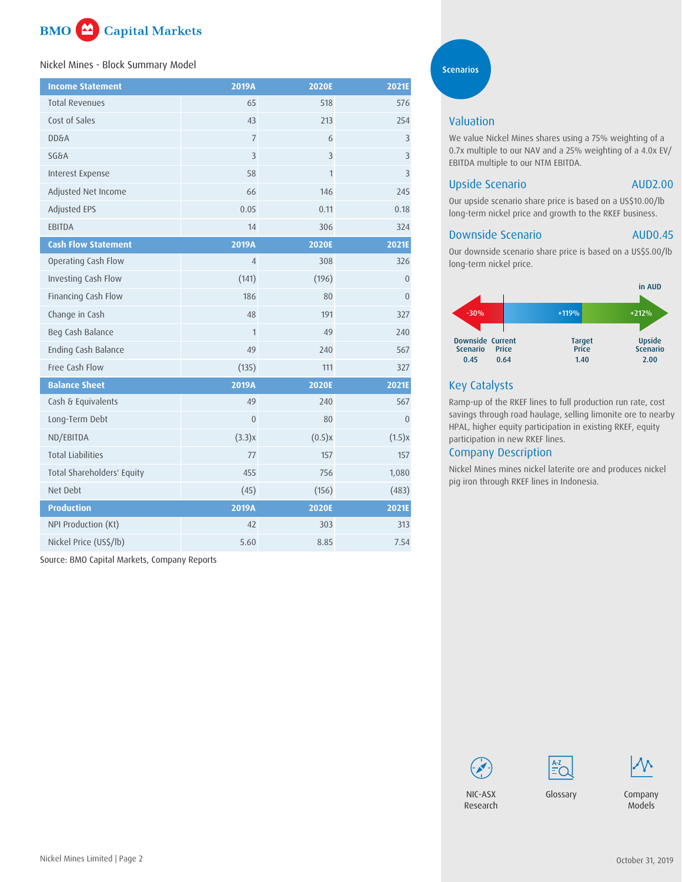

#### Nickel Mines - Block Summary Model

| <b>Income Statement</b>    | 2019A          | 2020E          | 2021E          |
|----------------------------|----------------|----------------|----------------|
| <b>Total Revenues</b>      | 65             | 518            | 576            |
| Cost of Sales              | 43             | 213            | 254            |
| <b>DD&amp;A</b>            | $\overline{7}$ | 6              | $\overline{3}$ |
| <b>SG&amp;A</b>            | $\overline{3}$ | $\overline{3}$ | 3              |
| Interest Expense           | 58             | $\mathbf{1}$   | 3              |
| Adjusted Net Income        | 66             | 146            | 245            |
| Adjusted EPS               | 0.05           | 0.11           | 0.18           |
| EBITDA                     | 14             | 306            | 324            |
| <b>Cash Flow Statement</b> | 2019A          | 2020E          | 2021E          |
| Operating Cash Flow        | $\overline{4}$ | 308            | 326            |
| Investing Cash Flow        | (141)          | (196)          | $\overline{0}$ |
| Financing Cash Flow        | 186            | 80             | $\overline{0}$ |
| Change in Cash             | 48             | 191            | 327            |
| Beg Cash Balance           | $\mathbf{1}$   | 49             | 240            |
| Ending Cash Balance        | 49             | 240            | 567            |
| Free Cash Flow             | (135)          | 111            | 327            |
| <b>Balance Sheet</b>       | 2019A          | 2020E          | 2021E          |
| Cash & Equivalents         | 49             | 240            | 567            |
| Long-Term Debt             | $\overline{0}$ | 80             | $\overline{0}$ |
| ND/EBITDA                  | (3.3)x         | $(0.5)$ x      | (1.5)x         |
| <b>Total Liabilities</b>   | 77             | 157            | 157            |
| Total Shareholders' Equity | 455            | 756            | 1,080          |
| Net Debt                   | (45)           | (156)          | (483)          |
| <b>Production</b>          | 2019A          | 2020E          | 2021E          |
| NPI Production (Kt)        | 42             | 303            | 313            |
| Nickel Price (US\$/lb)     | 5.60           | 8.85           | 7.54           |

Source: BMO Capital Markets, Company Reports

**Scenarios** 

# Valuation

We value Nickel Mines shares using a 75% weighting of a 0.7x multiple to our NAV and a 25% weighting of a 4.0x EV/ EBITDA multiple to our NTM EBITDA.

### Upside Scenario AUD2.00

Our upside scenario share price is based on a US\$10.00/lb long-term nickel price and growth to the RKEF business.

#### Downside Scenario **AUDO.45**

Our downside scenario share price is based on a US\$5.00/lb long-term nickel price.



# Key Catalysts

Ramp-up of the RKEF lines to full production run rate, cost savings through road haulage, selling limonite ore to nearby HPAL, higher equity participation in existing RKEF, equity participation in new RKEF lines.

## Company Description

Nickel Mines mines nickel laterite ore and produces nickel pig iron through RKEF lines in Indonesia.







[NIC-ASX](https://research-ca.bmocapitalmarkets.com/Member/Home/nbresearch.aspx?Ticker=NIC=AU) Research

[Glossary](https://research-ca.bmocapitalmarkets.com/documents/9C38BC5D-6EE9-4359-A0FD-43B5B0459AA8.PDF?) C[ompan](https://research-ca.bmocapitalmarkets.com/Member/CNM/ShowModel.aspx?TC=EQ&TK=NIC=AU@CA)y Models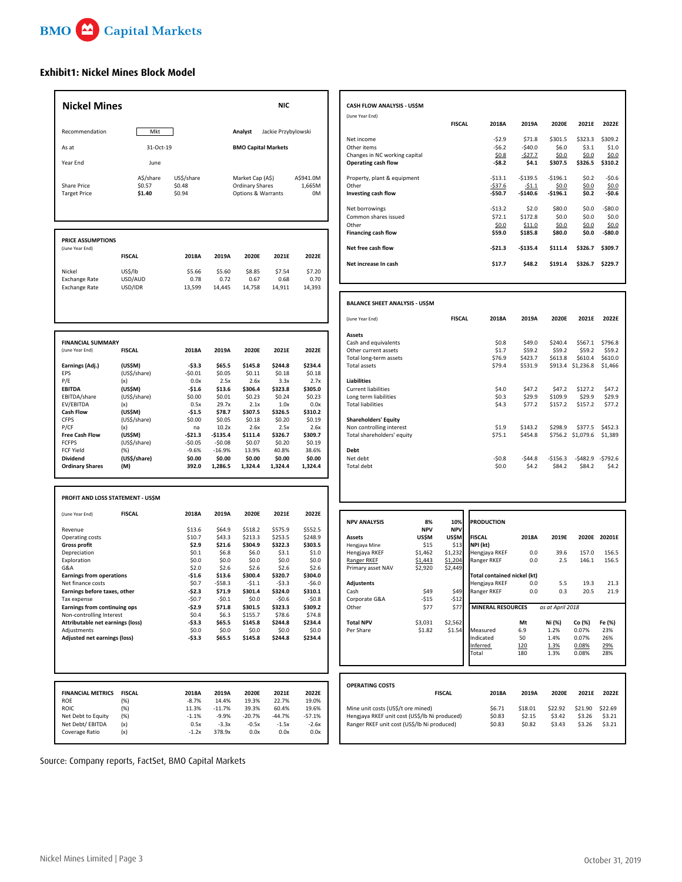# **BMO** Capital Markets

### **Exhibit1: Nickel Mines Block Model**

| <b>Nickel Mines</b>                               |                         |                  |                    |                               | <b>NIC</b>          |                    | CASH FLOW ANALYSIS - US\$M                              |                   |                              |                    |                     |                     |                    |
|---------------------------------------------------|-------------------------|------------------|--------------------|-------------------------------|---------------------|--------------------|---------------------------------------------------------|-------------------|------------------------------|--------------------|---------------------|---------------------|--------------------|
|                                                   |                         |                  |                    |                               |                     |                    | (June Year End)                                         |                   |                              |                    |                     |                     |                    |
|                                                   |                         |                  |                    |                               |                     |                    |                                                         | <b>FISCAL</b>     | 2018A                        | 2019A              | 2020E               | 2021E               | 2022E              |
| Recommendation                                    | Mkt                     |                  |                    | Analyst                       | Jackie Przybylowski |                    |                                                         |                   |                              |                    |                     |                     |                    |
| As at                                             | 31-Oct-19               |                  |                    | <b>BMO Capital Markets</b>    |                     |                    | Net income<br>Other items                               |                   | -\$2.9<br>$-$ \$6.2          | \$71.8<br>$-540.0$ | \$301.5<br>\$6.0    | \$323.3<br>\$3.1    | \$309.2<br>\$1.0   |
|                                                   |                         |                  |                    |                               |                     |                    | Changes in NC working capital                           |                   | \$0.8                        | -\$27.7            | \$0.0               | 50.0                | \$0.0              |
| Year End                                          | June                    |                  |                    |                               |                     |                    | Operating cash flow                                     |                   | -\$8.2                       | \$4.1              | \$307.5             | \$326.5             | \$310.2            |
|                                                   | A\$/share               | US\$/share       |                    | Market Cap (A\$)              |                     | A\$941.0M          | Property, plant & equipment                             |                   | $-513.1$                     | $-$139.5$          | $-5196.1$           | \$0.2               | $-50.6$            |
| <b>Share Price</b>                                | \$0.57                  | \$0.48           |                    | <b>Ordinary Shares</b>        |                     | 1,665M             | Other                                                   |                   | $-537.6$                     | $-51.1$            | \$0.0               | \$0.0               | \$0.0              |
| <b>Target Price</b>                               | \$1.40                  | \$0.94           |                    | <b>Options &amp; Warrants</b> |                     | 0M                 | Investing cash flow                                     |                   | -\$50.7                      | $-$140.6$          | $-$196.1$           | \$0.2               | $-$0.6$            |
|                                                   |                         |                  |                    |                               |                     |                    |                                                         |                   | $-513.2$                     | \$2.0              | \$80.0              | \$0.0               | $-580.0$           |
|                                                   |                         |                  |                    |                               |                     |                    | Net borrowings<br>Common shares issued                  |                   | \$72.1                       | \$172.8            | \$0.0               | \$0.0               | \$0.0              |
|                                                   |                         |                  |                    |                               |                     |                    | Other                                                   |                   | \$0.0                        | \$11.0             | \$0.0               | \$0.0               | \$0.0              |
|                                                   |                         |                  |                    |                               |                     |                    | <b>Financing cash flow</b>                              |                   | \$59.0                       | \$185.8            | \$80.0              | \$0.0               | $-$ \$80.0         |
| <b>PRICE ASSUMPTIONS</b><br>(June Year End)       |                         |                  |                    |                               |                     |                    | Net free cash flow                                      |                   | -\$21.3                      | -\$135.4           | \$111.4             | \$326.7             | \$309.7            |
|                                                   | <b>FISCAL</b>           | 2018A            | 2019A              | 2020E                         | 2021E               | 2022E              |                                                         |                   |                              |                    |                     |                     |                    |
|                                                   |                         |                  |                    |                               |                     |                    | Net increase In cash                                    |                   | \$17.7                       | \$48.2             | \$191.4             | \$326.7             | \$229.7            |
| Nickel                                            | US\$/lb                 | \$5.66           | \$5.60             | \$8.85                        | \$7.54              | \$7.20             |                                                         |                   |                              |                    |                     |                     |                    |
| <b>Exchange Rate</b><br><b>Exchange Rate</b>      | USD/AUD<br>USD/IDR      | 0.78<br>13,599   | 0.72<br>14,445     | 0.67<br>14,758                | 0.68<br>14,911      | 0.70<br>14,393     |                                                         |                   |                              |                    |                     |                     |                    |
|                                                   |                         |                  |                    |                               |                     |                    |                                                         |                   |                              |                    |                     |                     |                    |
|                                                   |                         |                  |                    |                               |                     |                    | <b>BALANCE SHEET ANALYSIS - US\$M</b>                   |                   |                              |                    |                     |                     |                    |
|                                                   |                         |                  |                    |                               |                     |                    | (June Year End)                                         | <b>FISCAL</b>     | 2018A                        | 2019A              | 2020E               | 2021E               | 2022E              |
|                                                   |                         |                  |                    |                               |                     |                    |                                                         |                   |                              |                    |                     |                     |                    |
|                                                   |                         |                  |                    |                               |                     |                    | Assets                                                  |                   |                              |                    |                     |                     |                    |
| <b>FINANCIAL SUMMARY</b>                          |                         |                  |                    |                               |                     |                    | Cash and equivalents                                    |                   | \$0.8                        | \$49.0             | \$240.4             | \$567.1             | \$796.8            |
| (June Year End)                                   | <b>FISCAL</b>           | 2018A            | 2019A              | 2020E                         | 2021E               | 2022E              | Other current assets<br>Total long-term assets          |                   | \$1.7<br>\$76.9              | \$59.2<br>\$423.7  | \$59.2<br>\$613.8   | \$59.2<br>\$610.4   | \$59.2<br>\$610.0  |
| Earnings (Adj.)                                   | (US\$M)                 | $-53.3$          | \$65.5             | \$145.8                       | \$244.8             | \$234.4            | <b>Total assets</b>                                     |                   | \$79.4                       | \$531.9            | \$913.4             | \$1,236.8           | \$1,466            |
| EPS                                               | (US\$/share)            | -\$0.01          | \$0.05             | \$0.11                        | \$0.18              | \$0.18             |                                                         |                   |                              |                    |                     |                     |                    |
| P/E                                               | (x)                     | 0.0x             | 2.5x               | 2.6x                          | 3.3x                | 2.7x               | <b>Liabilities</b>                                      |                   |                              |                    |                     |                     |                    |
| <b>EBITDA</b><br>EBITDA/share                     | (US\$M)<br>(US\$/share) | -\$1.6<br>\$0.00 | \$13.6<br>\$0.01   | \$306.4<br>\$0.23             | \$323.8<br>\$0.24   | \$305.0<br>\$0.23  | <b>Current liabilities</b><br>Long term liabilities     |                   | \$4.0<br>\$0.3               | \$47.2<br>\$29.9   | \$47.2<br>\$109.9   | \$127.2<br>\$29.9   | \$47.2<br>\$29.9   |
| EV/EBITDA                                         | (x)                     | 0.5x             | 29.7x              | 2.1x                          | 1.0x                | 0.0x               | <b>Total liabilities</b>                                |                   | \$4.3                        | \$77.2             | \$157.2             | \$157.2             | \$77.2             |
| <b>Cash Flow</b>                                  | (US\$M)                 | -\$1.5           | \$78.7             | \$307.5                       | \$326.5             | \$310.2            |                                                         |                   |                              |                    |                     |                     |                    |
| <b>CFPS</b><br>P/CF                               | (US\$/share)            | \$0.00<br>na     | \$0.05<br>10.2x    | \$0.18<br>2.6x                | \$0.20<br>2.5x      | \$0.19<br>2.6x     | <b>Shareholders' Equity</b><br>Non controlling interest |                   | \$1.9                        | \$143.2            | \$298.9             | \$377.5             | \$452.3            |
| <b>Free Cash Flow</b>                             | (x)<br>(US\$M)          | -\$21.3          | $-$135.4$          | \$111.4                       | \$326.7             | \$309.7            | Total shareholders' equity                              |                   | \$75.1                       | \$454.8            |                     | \$756.2 \$1,079.6   | \$1,389            |
| <b>FCFPS</b>                                      | (US\$/share)            | $-50.05$         | $-50.08$           | \$0.07                        | \$0.20              | \$0.19             |                                                         |                   |                              |                    |                     |                     |                    |
| <b>FCF Yield</b>                                  | (%)                     | $-9.6%$          | $-16.9%$           | 13.9%                         | 40.8%               | 38.6%              | Debt                                                    |                   |                              |                    |                     |                     |                    |
| <b>Dividend</b><br><b>Ordinary Shares</b>         | (US\$/share)<br>(M)     | \$0.00<br>392.0  | \$0.00<br>1,286.5  | \$0.00<br>1,324.4             | \$0.00<br>1,324.4   | \$0.00<br>1,324.4  | Net debt<br><b>Total debt</b>                           |                   | -\$0.8<br>\$0.0              | $-$44.8$<br>\$4.2  | $-$156.3$<br>\$84.2 | $-$482.9$<br>\$84.2 | $-5792.6$<br>\$4.2 |
|                                                   |                         |                  |                    |                               |                     |                    |                                                         |                   |                              |                    |                     |                     |                    |
|                                                   |                         |                  |                    |                               |                     |                    |                                                         |                   |                              |                    |                     |                     |                    |
| PROFIT AND LOSS STATEMENT - US\$M                 |                         |                  |                    |                               |                     |                    |                                                         |                   |                              |                    |                     |                     |                    |
|                                                   |                         |                  |                    |                               |                     | 2022E              |                                                         |                   |                              |                    |                     |                     |                    |
| (June Year End)                                   | <b>FISCAL</b>           | 2018A            | 2019A              | 2020E                         | 2021E               |                    | 8%<br><b>NPV ANALYSIS</b>                               | 10%               | <b>PRODUCTION</b>            |                    |                     |                     |                    |
| Revenue                                           |                         | \$13.6           | \$64.9             | \$518.2                       | \$575.9             | \$552.5            | <b>NPV</b>                                              | <b>NPV</b>        |                              |                    |                     |                     |                    |
| Operating costs                                   |                         | \$10.7           | \$43.3             | \$213.3                       | \$253.5             | \$248.9            | <b>US\$M</b><br>Assets                                  | US\$M             | <b>FISCAL</b>                | 2018A              | 2019E               |                     | 2020E 20201E       |
| <b>Gross profit</b><br>Depreciation               |                         | \$2.9<br>\$0.1   | \$21.6<br>\$6.8    | \$304.9<br>\$6.0              | \$322.3<br>\$3.1    | \$303.5<br>\$1.0   | \$15<br>Hengjaya Mine<br>\$1,462<br>Hengjaya RKEF       | \$13<br>\$1,232   | NPI (kt)<br>Hengjaya RKEF    | 0.0                | 39.6                | 157.0               | 156.5              |
| Exploration                                       |                         | \$0.0            | \$0.0              | \$0.0                         | \$0.0               | \$0.0              | Ranger RKEF<br>\$1,443                                  | \$1,204           | Ranger RKEF                  | 0.0                | 2.5                 | 146.1               | 156.5              |
| G&A                                               |                         | \$2.0            | \$2.6              | \$2.6                         | \$2.6               | \$2.6              | \$2,920<br>Primary asset NAV                            | \$2,449           |                              |                    |                     |                     |                    |
| <b>Earnings from operations</b>                   |                         | -\$1.6           | \$13.6             | \$300.4                       | \$320.7             | \$304.0            | <b>Adjustents</b>                                       |                   | Total contained nickel (kt)  | 0.0                |                     |                     |                    |
| Net finance costs<br>Earnings before taxes, other |                         | \$0.7<br>-\$2.3  | $-558.3$<br>\$71.9 | $-51.1$<br>\$301.4            | $-53.3$<br>\$324.0  | $-56.0$<br>\$310.1 | \$49<br>Cash                                            | \$49              | Hengjaya RKEF<br>Ranger RKEF | 0.0                | 5.5<br>0.3          | 19.3<br>20.5        | 21.3<br>21.9       |
| Tax expense                                       |                         | -\$0.7           | $-50.1$            | \$0.0                         | $-50.6$             | $-50.8$            | $-515$<br>Corporate G&A                                 | $-512$            |                              |                    |                     |                     |                    |
| <b>Earnings from continuing ops</b>               |                         | $-$ \$2.9        | \$71.8             | \$301.5                       | \$323.3             | \$309.2            | \$77<br>Other                                           | \$77              | <b>MINERAL RESOURCES</b>     |                    | as at April 2018    |                     |                    |
| Non-controlling Interest                          |                         | \$0.4            | \$6.3              | \$155.7                       | \$78.6              | \$74.8             | <b>Total NPV</b>                                        |                   |                              |                    |                     |                     |                    |
| Attributable net earnings (loss)<br>Adjustments   |                         | -\$3.3<br>\$0.0  | \$65.5<br>\$0.0    | \$145.8<br>\$0.0              | \$244.8<br>\$0.0    | \$234.4<br>\$0.0   | \$3,031<br>Per Share<br>\$1.82                          | \$2,562<br>\$1.54 | Measured                     | Mt<br>6.9          | Ni (%)<br>1.2%      | Co (%)<br>0.07%     | Fe (%)<br>23%      |
| <b>Adjusted net earnings (loss)</b>               |                         | $-53.3$          | \$65.5             | \$145.8                       | \$244.8             | \$234.4            |                                                         |                   | Indicated                    | 50                 | 1.4%                | 0.07%               | 26%                |
|                                                   |                         |                  |                    |                               |                     |                    |                                                         |                   | Inferred                     | 120                | 1.3%                | 0.08%               | 29%                |
|                                                   |                         |                  |                    |                               |                     |                    |                                                         |                   | Total                        | 180                | 1.3%                | 0.08%               | 28%                |
|                                                   |                         |                  |                    |                               |                     |                    |                                                         |                   |                              |                    |                     |                     |                    |
|                                                   |                         |                  |                    |                               |                     |                    |                                                         |                   |                              |                    |                     |                     |                    |
| <b>FINANCIAL METRICS</b>                          | <b>FISCAL</b>           | 2018A            | 2019A              | 2020E                         | 2021E               | 2022E              | <b>OPERATING COSTS</b>                                  | <b>FISCAL</b>     | 2018A                        | 2019A              | 2020E               | 2021E               | 2022E              |
| ROE                                               | (%)                     | $-8.7%$          | 14.4%              | 19.3%                         | 22.7%               | 19.0%              |                                                         |                   |                              |                    |                     |                     |                    |
| <b>ROIC</b>                                       | (%)                     | 11.3%            | $-11.7%$           | 39.3%                         | 60.4%               | 19.6%              | Mine unit costs (US\$/t ore mined)                      |                   | \$6.71                       | \$18.01            | \$22.92             | \$21.90             | \$22.69            |
| Net Debt to Equity                                | (%)                     | $-1.1%$          | $-9.9%$            | $-20.7%$                      | $-44.7%$            | $-57.1%$           | Hengjaya RKEF unit cost (US\$/lb Ni produced)           |                   | \$0.83                       | \$2.15             | \$3.42              | \$3.26              | \$3.21             |
| Net Debt/ EBITDA<br>Coverage Ratio                | (x)<br>(x)              | 0.5x<br>$-1.2x$  | $-3.3x$<br>378.9x  | $-0.5x$<br>0.0x               | $-1.5x$<br>0.0x     | $-2.6x$<br>0.0x    | Ranger RKEF unit cost (US\$/lb Ni produced)             |                   | \$0.83                       | \$0.82             | \$3.43              | \$3.26              | \$3.21             |
|                                                   |                         |                  |                    |                               |                     |                    |                                                         |                   |                              |                    |                     |                     |                    |

| <b>Nickel Mines</b>                         |               |            |        |                            | <b>NIC</b>          |                | CASH FLOW ANALYSIS - US\$M    |               |          |           |           |         |            |
|---------------------------------------------|---------------|------------|--------|----------------------------|---------------------|----------------|-------------------------------|---------------|----------|-----------|-----------|---------|------------|
|                                             |               |            |        |                            |                     |                | (June Year End)               |               |          |           |           |         |            |
|                                             |               |            |        |                            |                     |                |                               | <b>FISCAL</b> | 2018A    | 2019A     | 2020E     | 2021E   | 2022E      |
| Recommendation                              | Mkt           |            |        | Analyst                    | Jackie Przybylowski |                |                               |               |          |           |           |         |            |
|                                             |               |            |        |                            |                     |                | Net income                    |               | $-52.9$  | \$71.8    | \$301.5   | \$323.3 | \$309.2    |
| As at                                       | 31-Oct-19     |            |        | <b>BMO Capital Markets</b> |                     |                | Other items                   |               | $-56.2$  | $-540.0$  | \$6.0     | \$3.1   | \$1.0      |
|                                             |               |            |        |                            |                     |                | Changes in NC working capital |               | \$0.8    | $-527.7$  | \$0.0     | \$0.0   | \$0.0      |
| Year End                                    | June          |            |        |                            |                     |                | <b>Operating cash flow</b>    |               | $-58.2$  | \$4.1     | \$307.5   | \$326.5 | \$310.2    |
|                                             | A\$/share     | US\$/share |        | Market Cap (A\$)           |                     | A\$941.0M      | Property, plant & equipment   |               | $-513.1$ | $-5139.5$ | $-5196.1$ | \$0.2\$ | $-50.6$    |
| Share Price                                 | \$0.57        | \$0.48     |        | Ordinary Shares            |                     | 1,665M         | Other                         |               | $-537.6$ | $-51.1$   | \$0.0     | \$0.0   | \$0.0      |
| <b>Target Price</b>                         | \$1.40        | \$0.94     |        | Options & Warrants         |                     | 0 <sub>M</sub> | Investing cash flow           |               | $-$50.7$ | $-$140.6$ | $-5196.1$ | \$0.2\$ | $-$0.6$    |
|                                             |               |            |        |                            |                     |                | Net borrowings                |               | $-513.2$ | \$2.0     | \$80.0    | \$0.0   | $-580.0$   |
|                                             |               |            |        |                            |                     |                | Common shares issued          |               | \$72.1   | \$172.8   | \$0.0\$   | \$0.0   | \$0.0      |
|                                             |               |            |        |                            |                     |                | Other                         |               | \$0.0    | \$11.0    | \$0.0     | \$0.0   | \$0.0      |
|                                             |               |            |        |                            |                     |                | <b>Financing cash flow</b>    |               | \$59.0   | \$185.8   | \$80.0    | \$0.0   | $-$ \$80.0 |
| <b>PRICE ASSUMPTIONS</b><br>(June Year End) |               |            |        |                            |                     |                | Net free cash flow            |               | $-521.3$ | $-5135.4$ | \$111.4   | \$326.7 | \$309.7    |
|                                             | <b>FISCAL</b> | 2018A      | 2019A  | 2020E                      | 2021E               | 2022E          |                               |               |          |           |           |         |            |
|                                             |               |            |        |                            |                     |                | Net increase In cash          |               | \$17.7   | \$48.2    | \$191.4   | \$326.7 | \$229.7    |
| Nickel                                      | US\$/lb       | \$5.66     | \$5.60 | \$8.85                     | \$7.54              | \$7.20         |                               |               |          |           |           |         |            |

|                   |               |          |           |         |         |         | <b>BALANCE SHEET ANALYSIS - US\$M</b> |         |          |           |           |
|-------------------|---------------|----------|-----------|---------|---------|---------|---------------------------------------|---------|----------|-----------|-----------|
|                   |               |          |           |         |         |         | <b>FISCAL</b><br>(June Year End)      | 2018A   | 2019A    | 2020E     |           |
|                   |               |          |           |         |         |         | <b>Assets</b>                         |         |          |           |           |
| FINANCIAL SUMMARY |               |          |           |         |         |         | Cash and equivalents                  | \$0.8   | \$49.0   | \$240.4   |           |
| (June Year End)   | <b>FISCAL</b> | 2018A    | 2019A     | 2020E   | 2021E   | 2022E   | Other current assets                  | \$1.7   | \$59.2   | \$59.2    |           |
|                   |               |          |           |         |         |         | Total long-term assets                | \$76.9  | \$423.7  | \$613.8   |           |
| Earnings (Adj.)   | (US\$M)       | $-53.3$  | \$65.5    | \$145.8 | \$244.8 | \$234.4 | Total assets                          | \$79.4  | \$531.9  | \$913.4   | \$1,236.8 |
| <b>EPS</b>        | (US\$/share)  | $-50.01$ | \$0.05    | \$0.11  | \$0.18  | \$0.18  |                                       |         |          |           |           |
| P/E               | (x)           | 0.0x     | 2.5x      | 2.6x    | 3.3x    | 2.7x    | <b>Liabilities</b>                    |         |          |           |           |
| EBITDA            | (US\$M)       | $-51.6$  | \$13.6    | \$306.4 | \$323.8 | \$305.0 | <b>Current liabilities</b>            | \$4.0   | \$47.2   | \$47.2    |           |
| EBITDA/share      | (US\$/share)  | \$0.00   | \$0.01    | \$0.23  | \$0.24  | \$0.23  | Long term liabilities                 | \$0.3   | \$29.9   | \$109.9   |           |
| EV/EBITDA         | (x)           | 0.5x     | 29.7x     | 2.1x    | 1.0x    | 0.0x    | <b>Total liabilities</b>              | \$4.3   | \$77.2   | \$157.2   |           |
| Cash Flow         | (US\$M)       | $-51.5$  | \$78.7    | \$307.5 | \$326.5 | \$310.2 |                                       |         |          |           |           |
| <b>CFPS</b>       | (US\$/share)  | \$0.00   | \$0.05    | \$0.18  | \$0.20  | \$0.19  | <b>Shareholders' Equity</b>           |         |          |           |           |
| P/CF              | (x)           | na       | 10.2x     | 2.6x    | 2.5x    | 2.6x    | Non controlling interest              | \$1.9   | \$143.2  | \$298.9   |           |
| Free Cash Flow    | (US\$M)       | $-521.3$ | $-5135.4$ | \$111.4 | \$326.7 | \$309.7 | Total shareholders' equity            | \$75.1  | \$454.8  | \$756.2   | \$1,079.6 |
| <b>FCFPS</b>      | (US\$/share)  | $-50.05$ | $-50.08$  | \$0.07  | \$0.20  | \$0.19  |                                       |         |          |           |           |
| FCF Yield         | (%)           | $-9.6%$  | $-16.9%$  | 13.9%   | 40.8%   | 38.6%   | <b>Debt</b>                           |         |          |           |           |
| Dividend          | (US\$/share)  | \$0.00   | \$0.00    | \$0.00  | \$0.00  | \$0.00  | Net debt                              | $-50.8$ | $-544.8$ | $-5156.3$ |           |
| Ordinary Shares   | (M)           | 392.0    | 1,286.5   | 1,324.4 | 1,324.4 | 1,324.4 | Total debt                            | \$0.0   | \$4.2    | \$84.2    |           |

| (June Year End)                     | <b>FISCAL</b> | 2018A   | 2019A    | 2020E   | 2021E   | 2022E   |                        |              |               |                             |       |                  |        |        |
|-------------------------------------|---------------|---------|----------|---------|---------|---------|------------------------|--------------|---------------|-----------------------------|-------|------------------|--------|--------|
|                                     |               |         |          |         |         |         | <b>NPV ANALYSIS</b>    | 8%           | 10%           | <b>PRODUCTION</b>           |       |                  |        |        |
| Revenue                             |               | \$13.6  | \$64.9   | \$518.2 | \$575.9 | \$552.5 |                        | <b>NPV</b>   | <b>NPV</b>    |                             |       |                  |        |        |
| Operating costs                     |               | \$10.7  | \$43.3   | \$213.3 | \$253.5 | \$248.9 | <b>Assets</b>          | <b>US\$M</b> | <b>US\$M</b>  | <b>FISCAL</b>               | 2018A | 2019E            | 2020E  | 20201E |
| Gross profit                        |               | \$2.9   | \$21.6   | \$304.9 | \$322.3 | \$303.5 | Hengjaya Mine          | \$15         | \$13          | NPI (kt)                    |       |                  |        |        |
| Depreciation                        |               | \$0.1   | \$6.8\$  | \$6.0   | \$3.1   | \$1.0   | Hengjaya RKEF          | \$1,462      | \$1,232       | Hengjaya RKEF               | 0.0   | 39.6             | 157.0  | 156.5  |
| Exploration                         |               | \$0.0   | \$0.0    | \$0.0   | \$0.0   | \$0.0   | Ranger RKEF            | \$1,443      | \$1,204       | Ranger RKEF                 | 0.0   | 2.5              | 146.1  | 156.5  |
| G&A                                 |               | \$2.0   | \$2.6    | \$2.6   | \$2.6   | \$2.6   | Primary asset NAV      | \$2,920      | \$2,449       |                             |       |                  |        |        |
| <b>Earnings from operations</b>     |               | $-51.6$ | \$13.6   | \$300.4 | \$320.7 | \$304.0 |                        |              |               | Total contained nickel (kt) |       |                  |        |        |
| Net finance costs                   |               | \$0.7   | $-558.3$ | $-51.1$ | $-53.3$ | $-56.0$ | <b>Adjustents</b>      |              |               | Hengjaya RKEF               | 0.0   | 5.5              | 19.3   | 21.3   |
| Earnings before taxes, other        |               | $-52.3$ | \$71.9   | \$301.4 | \$324.0 | \$310.1 | Cash                   | \$49         | \$49          | Ranger RKEF                 | 0.0   | 0.3              | 20.5   | 21.9   |
| Tax expense                         |               | $-50.7$ | $-50.1$  | \$0.0   | $-50.6$ | $-50.8$ | Corporate G&A          | $-515$       | $-512$        |                             |       |                  |        |        |
| <b>Earnings from continuing ops</b> |               | $-52.9$ | \$71.8   | \$301.5 | \$323.3 | \$309.2 | Other                  | \$77         | \$77          | <b>MINERAL RESOURCES</b>    |       | as at April 2018 |        |        |
| Non-controlling Interest            |               | \$0.4   | \$6.3    | \$155.7 | \$78.6  | \$74.8  |                        |              |               |                             |       |                  |        |        |
| Attributable net earnings (loss)    |               | $-53.3$ | \$65.5   | \$145.8 | \$244.8 | \$234.4 | <b>Total NPV</b>       | \$3,031      | \$2,562       |                             | Mt    | Ni (%)           | Co (%) | Fe (%) |
| Adjustments                         |               | \$0.0   | \$0.0    | \$0.0   | \$0.0   | \$0.0   | Per Share              | \$1.82       | \$1.54        | Measured                    | 6.9   | 1.2%             | 0.07%  | 23%    |
| <b>Adjusted net earnings (loss)</b> |               | $-53.3$ | \$65.5   | \$145.8 | \$244.8 | \$234.4 |                        |              |               | Indicated                   | 50    | 1.4%             | 0.07%  | 26%    |
|                                     |               |         |          |         |         |         |                        |              |               | Inferred                    | 120   | 1.3%             | 0.08%  | 29%    |
|                                     |               |         |          |         |         |         |                        |              |               | Total                       | 180   | 1.3%             | 0.08%  | 28%    |
|                                     |               |         |          |         |         |         |                        |              |               |                             |       |                  |        |        |
|                                     |               |         |          |         |         |         |                        |              |               |                             |       |                  |        |        |
|                                     |               |         |          |         |         |         |                        |              |               |                             |       |                  |        |        |
| FINANCIAI METRICS                   | <b>FISCAL</b> | 20184   | 20194    | 2020F   | 2021F   | 2022F   | <b>OPERATING COSTS</b> |              | <b>FISCAL</b> | 20184                       | 20194 | 2020F            | 2021F  | 2022F  |

Source: Company reports, FactSet, BMO Capital Markets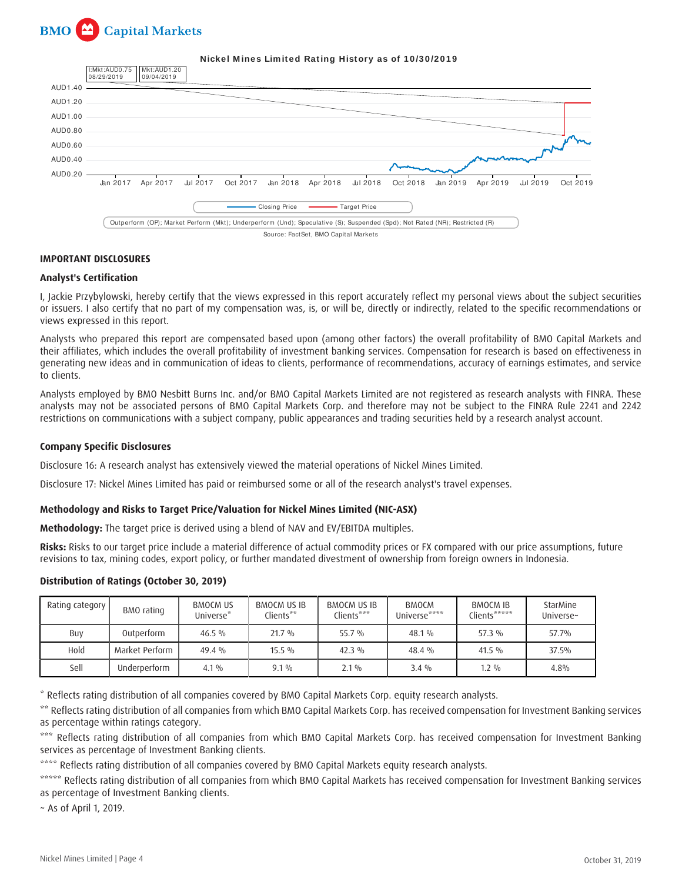



#### **IMPORTANT DISCLOSURES**

#### **Analyst's Certification**

I, Jackie Przybylowski, hereby certify that the views expressed in this report accurately reflect my personal views about the subject securities or issuers. I also certify that no part of my compensation was, is, or will be, directly or indirectly, related to the specific recommendations or views expressed in this report.

Analysts who prepared this report are compensated based upon (among other factors) the overall profitability of BMO Capital Markets and their affiliates, which includes the overall profitability of investment banking services. Compensation for research is based on effectiveness in generating new ideas and in communication of ideas to clients, performance of recommendations, accuracy of earnings estimates, and service to clients.

Analysts employed by BMO Nesbitt Burns Inc. and/or BMO Capital Markets Limited are not registered as research analysts with FINRA. These analysts may not be associated persons of BMO Capital Markets Corp. and therefore may not be subject to the FINRA Rule 2241 and 2242 restrictions on communications with a subject company, public appearances and trading securities held by a research analyst account.

#### **Company Specific Disclosures**

Disclosure 16: A research analyst has extensively viewed the material operations of Nickel Mines Limited.

Disclosure 17: Nickel Mines Limited has paid or reimbursed some or all of the research analyst's travel expenses.

#### **Methodology and Risks to Target Price/Valuation for Nickel Mines Limited (NIC-ASX)**

**Methodology:** The target price is derived using a blend of NAV and EV/EBITDA multiples.

**Risks:** Risks to our target price include a material difference of actual commodity prices or FX compared with our price assumptions, future revisions to tax, mining codes, export policy, or further mandated divestment of ownership from foreign owners in Indonesia.

#### **Distribution of Ratings (October 30, 2019)**

| Rating category | BMO rating     | <b>BMOCM US</b><br>Universe* | BMOCM US IB<br>Clients** | <b>BMOCM US IB</b><br>Clients*** | <b>BMOCM</b><br>Universe**** | <b>BMOCM IB</b><br>Clients***** | StarMine<br>Universe~ |
|-----------------|----------------|------------------------------|--------------------------|----------------------------------|------------------------------|---------------------------------|-----------------------|
| Buy             | Outperform     | $46.5\%$                     | $21.7\%$                 | 55.7 %                           | $48.1\%$                     | $57.3\%$                        | 57.7%                 |
| Hold            | Market Perform | $49.4\%$                     | $15.5\%$                 | $42.3\%$                         | $48.4\%$                     | $41.5\%$                        | 37.5%                 |
| Sell            | Underperform   | $4.1\%$                      | $9.1\%$                  | $2.1\%$                          | $3.4\%$                      | $1.2\%$                         | 4.8%                  |

\* Reflects rating distribution of all companies covered by BMO Capital Markets Corp. equity research analysts.

\*\* Reflects rating distribution of all companies from which BMO Capital Markets Corp. has received compensation for Investment Banking services as percentage within ratings category.

\*\*\* Reflects rating distribution of all companies from which BMO Capital Markets Corp. has received compensation for Investment Banking services as percentage of Investment Banking clients.

\*\*\*\* Reflects rating distribution of all companies covered by BMO Capital Markets equity research analysts.

\*\*\*\*\* Reflects rating distribution of all companies from which BMO Capital Markets has received compensation for Investment Banking services as percentage of Investment Banking clients.

~ As of April 1, 2019.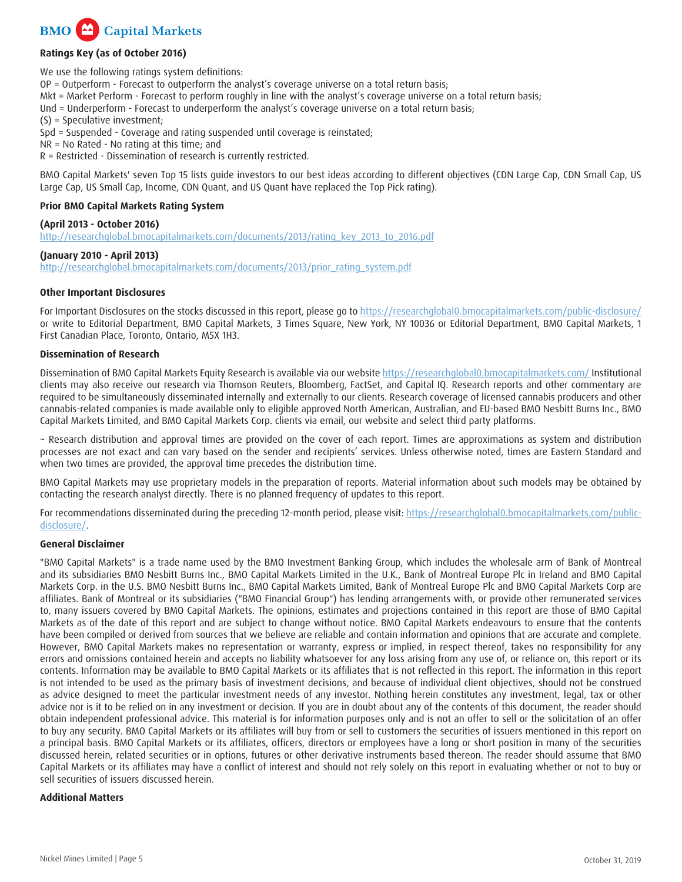

# **Ratings Key (as of October 2016)**

We use the following ratings system definitions: OP = Outperform - Forecast to outperform the analyst's coverage universe on a total return basis; Mkt = Market Perform - Forecast to perform roughly in line with the analyst's coverage universe on a total return basis; Und = Underperform - Forecast to underperform the analyst's coverage universe on a total return basis; (S) = Speculative investment; Spd = Suspended - Coverage and rating suspended until coverage is reinstated; NR = No Rated - No rating at this time; and R = Restricted - Dissemination of research is currently restricted.

BMO Capital Markets' seven Top 15 lists guide investors to our best ideas according to different objectives (CDN Large Cap, CDN Small Cap, US Large Cap, US Small Cap, Income, CDN Quant, and US Quant have replaced the Top Pick rating).

#### **Prior BMO Capital Markets Rating System**

**(April 2013 - October 2016)** [http://researchglobal.bmocapitalmarkets.com/documents/2013/rating\\_key\\_2013\\_to\\_2016.pdf](http://researchglobal.bmocapitalmarkets.com/documents/2013/rating_key_2013_to_2016.pdf?)

**(January 2010 - April 2013)** [http://researchglobal.bmocapitalmarkets.com/documents/2013/prior\\_rating\\_system.pdf](http://researchglobal.bmocapitalmarkets.com/documents/2013/prior_rating_system.pdf?)

#### **Other Important Disclosures**

For Important Disclosures on the stocks discussed in this report, please go to <https://researchglobal0.bmocapitalmarkets.com/public-disclosure/> or write to Editorial Department, BMO Capital Markets, 3 Times Square, New York, NY 10036 or Editorial Department, BMO Capital Markets, 1 First Canadian Place, Toronto, Ontario, M5X 1H3.

#### **Dissemination of Research**

Dissemination of BMO Capital Markets Equity Research is available via our website <https://researchglobal0.bmocapitalmarkets.com/> Institutional clients may also receive our research via Thomson Reuters, Bloomberg, FactSet, and Capital IQ. Research reports and other commentary are required to be simultaneously disseminated internally and externally to our clients. Research coverage of licensed cannabis producers and other cannabis-related companies is made available only to eligible approved North American, Australian, and EU-based BMO Nesbitt Burns Inc., BMO Capital Markets Limited, and BMO Capital Markets Corp. clients via email, our website and select third party platforms.

~ Research distribution and approval times are provided on the cover of each report. Times are approximations as system and distribution processes are not exact and can vary based on the sender and recipients' services. Unless otherwise noted, times are Eastern Standard and when two times are provided, the approval time precedes the distribution time.

BMO Capital Markets may use proprietary models in the preparation of reports. Material information about such models may be obtained by contacting the research analyst directly. There is no planned frequency of updates to this report.

For recommendations disseminated during the preceding 12-month period, please visit: [https://researchglobal0.bmocapitalmarkets.com/public](https://researchglobal0.bmocapitalmarkets.com/public-disclosure/)[disclosure/](https://researchglobal0.bmocapitalmarkets.com/public-disclosure/).

#### **General Disclaimer**

"BMO Capital Markets" is a trade name used by the BMO Investment Banking Group, which includes the wholesale arm of Bank of Montreal and its subsidiaries BMO Nesbitt Burns Inc., BMO Capital Markets Limited in the U.K., Bank of Montreal Europe Plc in Ireland and BMO Capital Markets Corp. in the U.S. BMO Nesbitt Burns Inc., BMO Capital Markets Limited, Bank of Montreal Europe Plc and BMO Capital Markets Corp are affiliates. Bank of Montreal or its subsidiaries ("BMO Financial Group") has lending arrangements with, or provide other remunerated services to, many issuers covered by BMO Capital Markets. The opinions, estimates and projections contained in this report are those of BMO Capital Markets as of the date of this report and are subject to change without notice. BMO Capital Markets endeavours to ensure that the contents have been compiled or derived from sources that we believe are reliable and contain information and opinions that are accurate and complete. However, BMO Capital Markets makes no representation or warranty, express or implied, in respect thereof, takes no responsibility for any errors and omissions contained herein and accepts no liability whatsoever for any loss arising from any use of, or reliance on, this report or its contents. Information may be available to BMO Capital Markets or its affiliates that is not reflected in this report. The information in this report is not intended to be used as the primary basis of investment decisions, and because of individual client objectives, should not be construed as advice designed to meet the particular investment needs of any investor. Nothing herein constitutes any investment, legal, tax or other advice nor is it to be relied on in any investment or decision. If you are in doubt about any of the contents of this document, the reader should obtain independent professional advice. This material is for information purposes only and is not an offer to sell or the solicitation of an offer to buy any security. BMO Capital Markets or its affiliates will buy from or sell to customers the securities of issuers mentioned in this report on a principal basis. BMO Capital Markets or its affiliates, officers, directors or employees have a long or short position in many of the securities discussed herein, related securities or in options, futures or other derivative instruments based thereon. The reader should assume that BMO Capital Markets or its affiliates may have a conflict of interest and should not rely solely on this report in evaluating whether or not to buy or sell securities of issuers discussed herein.

#### **Additional Matters**